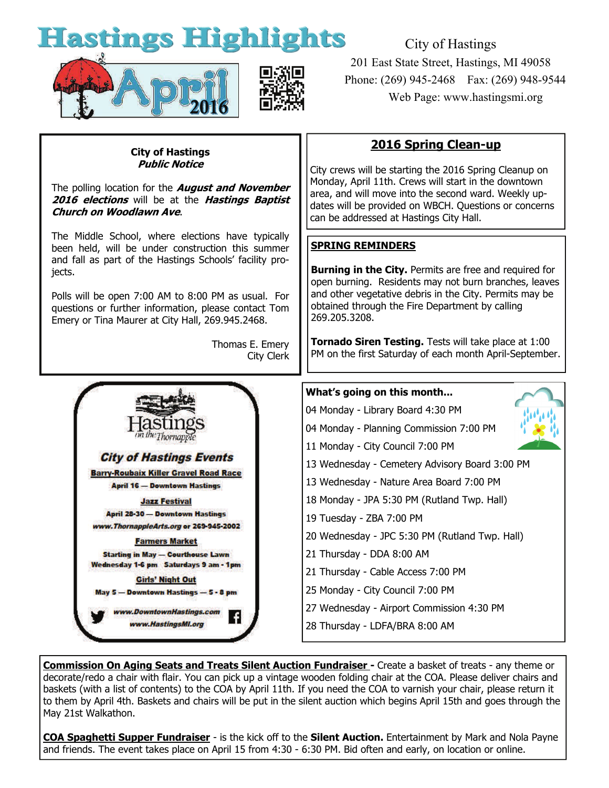# **Hastings Highlights**



City of Hastings 201 East State Street, Hastings, MI 49058 Phone: (269) 945-2468 Fax: (269) 948-9544 Web Page: www.hastingsmi.org

#### **City of Hastings Public Notice**

The polling location for the **August and November 2016 elections** will be at the **Hastings Baptist Church on Woodlawn Ave**.

The Middle School, where elections have typically been held, will be under construction this summer and fall as part of the Hastings Schools' facility projects.

Polls will be open 7:00 AM to 8:00 PM as usual. For questions or further information, please contact Tom Emery or Tina Maurer at City Hall, 269.945.2468.

> Thomas E. Emery City Clerk



# **2016 Spring Clean-up**

City crews will be starting the 2016 Spring Cleanup on Monday, April 11th. Crews will start in the downtown area, and will move into the second ward. Weekly updates will be provided on WBCH. Questions or concerns can be addressed at Hastings City Hall.

## **SPRING REMINDERS**

**Burning in the City.** Permits are free and required for open burning. Residents may not burn branches, leaves and other vegetative debris in the City. Permits may be obtained through the Fire Department by calling 269.205.3208.

**Tornado Siren Testing.** Tests will take place at 1:00 PM on the first Saturday of each month April-September.

### **What's going on this month...**

- 04 Monday Library Board 4:30 PM
- 04 Monday Planning Commission 7:00 PM
- 11 Monday City Council 7:00 PM
- 13 Wednesday Cemetery Advisory Board 3:00 PM
- 13 Wednesday Nature Area Board 7:00 PM
- 18 Monday JPA 5:30 PM (Rutland Twp. Hall)
- 19 Tuesday ZBA 7:00 PM
- 20 Wednesday JPC 5:30 PM (Rutland Twp. Hall)
- 21 Thursday DDA 8:00 AM
- 21 Thursday Cable Access 7:00 PM
- 25 Monday City Council 7:00 PM
- 27 Wednesday Airport Commission 4:30 PM
- 28 Thursday LDFA/BRA 8:00 AM

**Commission On Aging Seats and Treats Silent Auction Fundraiser -** Create a basket of treats - any theme or decorate/redo a chair with flair. You can pick up a vintage wooden folding chair at the COA. Please deliver chairs and baskets (with a list of contents) to the COA by April 11th. If you need the COA to varnish your chair, please return it to them by April 4th. Baskets and chairs will be put in the silent auction which begins April 15th and goes through the May 21st Walkathon.

**COA Spaghetti Supper Fundraiser** - is the kick off to the **Silent Auction.** Entertainment by Mark and Nola Payne and friends. The event takes place on April 15 from 4:30 - 6:30 PM. Bid often and early, on location or online.